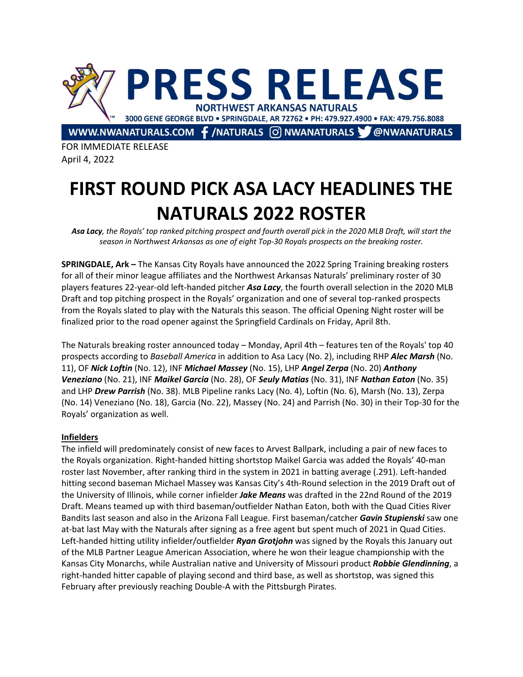

FOR IMMEDIATE RELEASE April 4, 2022

# **FIRST ROUND PICK ASA LACY HEADLINES THE NATURALS 2022 ROSTER**

*Asa Lacy, the Royals' top ranked pitching prospect and fourth overall pick in the 2020 MLB Draft, will start the season in Northwest Arkansas as one of eight Top-30 Royals prospects on the breaking roster.*

**SPRINGDALE, Ark –** The Kansas City Royals have announced the 2022 Spring Training breaking rosters for all of their minor league affiliates and the Northwest Arkansas Naturals' preliminary roster of 30 players features 22-year-old left-handed pitcher *Asa Lacy*, the fourth overall selection in the 2020 MLB Draft and top pitching prospect in the Royals' organization and one of several top-ranked prospects from the Royals slated to play with the Naturals this season. The official Opening Night roster will be finalized prior to the road opener against the Springfield Cardinals on Friday, April 8th.

The Naturals breaking roster announced today – Monday, April 4th – features ten of the Royals' top 40 prospects according to *Baseball America* in addition to Asa Lacy (No. 2), including RHP *Alec Marsh* (No. 11), OF *Nick Loftin* (No. 12), INF *Michael Massey* (No. 15), LHP *Angel Zerpa* (No. 20) *Anthony Veneziano* (No. 21), INF *Maikel Garcia* (No. 28), OF *Seuly Matias* (No. 31), INF *Nathan Eaton* (No. 35) and LHP *Drew Parrish* (No. 38). MLB Pipeline ranks Lacy (No. 4), Loftin (No. 6), Marsh (No. 13), Zerpa (No. 14) Veneziano (No. 18), Garcia (No. 22), Massey (No. 24) and Parrish (No. 30) in their Top-30 for the Royals' organization as well.

## **Infielders**

The infield will predominately consist of new faces to Arvest Ballpark, including a pair of new faces to the Royals organization. Right-handed hitting shortstop Maikel Garcia was added the Royals' 40-man roster last November, after ranking third in the system in 2021 in batting average (.291). Left-handed hitting second baseman Michael Massey was Kansas City's 4th-Round selection in the 2019 Draft out of the University of Illinois, while corner infielder *Jake Means* was drafted in the 22nd Round of the 2019 Draft. Means teamed up with third baseman/outfielder Nathan Eaton, both with the Quad Cities River Bandits last season and also in the Arizona Fall League. First baseman/catcher *Gavin Stupienski* saw one at-bat last May with the Naturals after signing as a free agent but spent much of 2021 in Quad Cities. Left-handed hitting utility infielder/outfielder *Ryan Grotjohn* was signed by the Royals this January out of the MLB Partner League American Association, where he won their league championship with the Kansas City Monarchs, while Australian native and University of Missouri product *Robbie Glendinning*, a right-handed hitter capable of playing second and third base, as well as shortstop, was signed this February after previously reaching Double-A with the Pittsburgh Pirates.